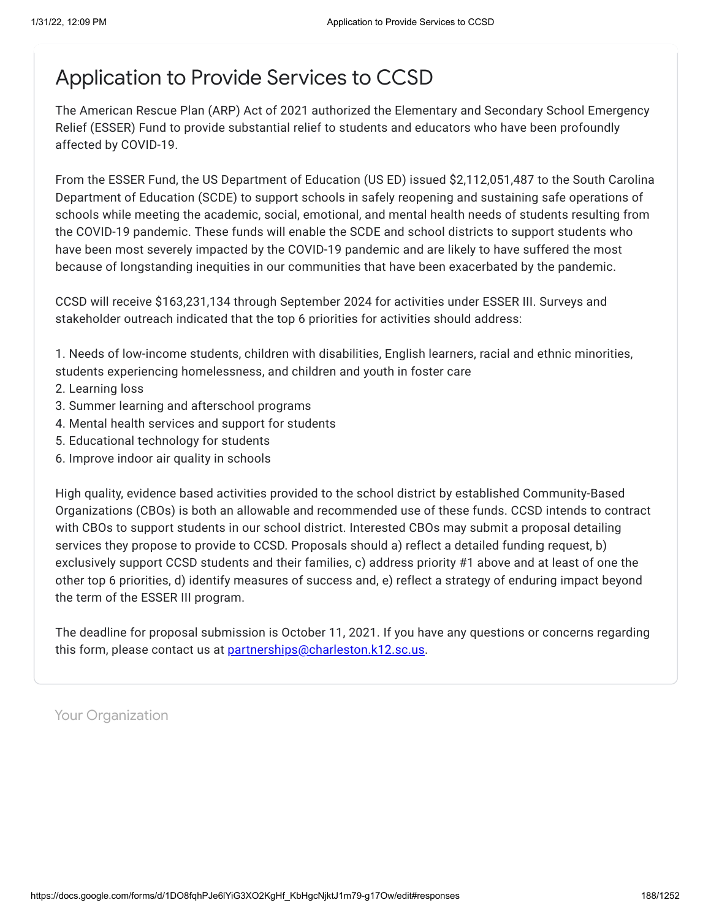# Application to Provide Services to CCSD

The American Rescue Plan (ARP) Act of 2021 authorized the Elementary and Secondary School Emergency Relief (ESSER) Fund to provide substantial relief to students and educators who have been profoundly affected by COVID-19.

From the ESSER Fund, the US Department of Education (US ED) issued \$2,112,051,487 to the South Carolina Department of Education (SCDE) to support schools in safely reopening and sustaining safe operations of schools while meeting the academic, social, emotional, and mental health needs of students resulting from the COVID-19 pandemic. These funds will enable the SCDE and school districts to support students who have been most severely impacted by the COVID-19 pandemic and are likely to have suffered the most because of longstanding inequities in our communities that have been exacerbated by the pandemic.

CCSD will receive \$163,231,134 through September 2024 for activities under ESSER III. Surveys and stakeholder outreach indicated that the top 6 priorities for activities should address:

1. Needs of low-income students, children with disabilities, English learners, racial and ethnic minorities, students experiencing homelessness, and children and youth in foster care

- 2. Learning loss
- 3. Summer learning and afterschool programs
- 4. Mental health services and support for students
- 5. Educational technology for students
- 6. Improve indoor air quality in schools

High quality, evidence based activities provided to the school district by established Community-Based Organizations (CBOs) is both an allowable and recommended use of these funds. CCSD intends to contract with CBOs to support students in our school district. Interested CBOs may submit a proposal detailing services they propose to provide to CCSD. Proposals should a) reflect a detailed funding request, b) exclusively support CCSD students and their families, c) address priority #1 above and at least of one the other top 6 priorities, d) identify measures of success and, e) reflect a strategy of enduring impact beyond the term of the ESSER III program.

The deadline for proposal submission is October 11, 2021. If you have any questions or concerns regarding this form, please contact us at **[partnerships@charleston.k12.sc.us](mailto:partnerships@charleston.k12.sc.us)**.

Your Organization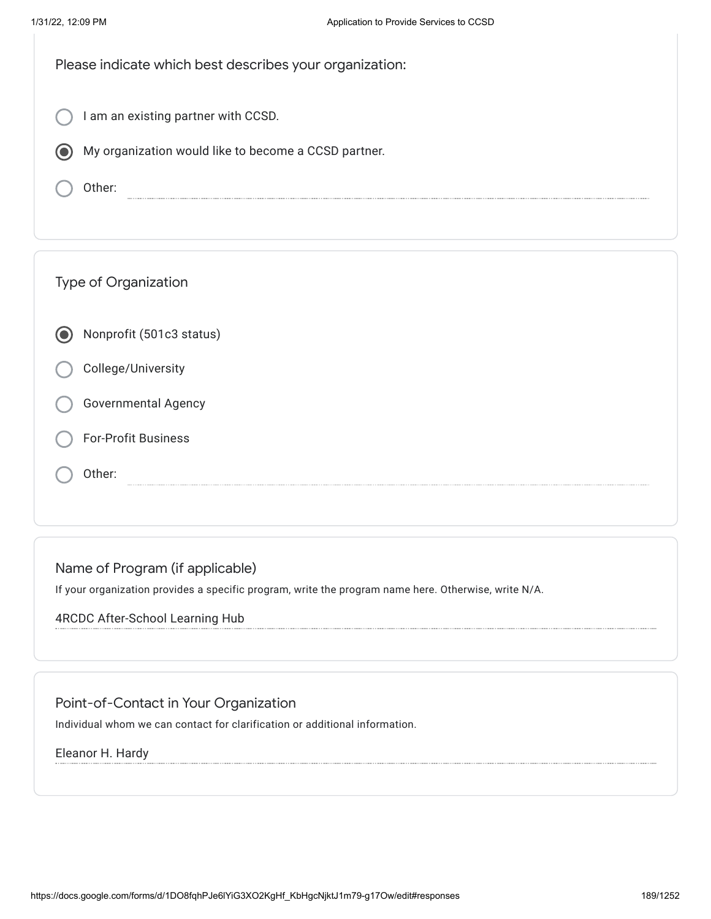I am an existing partner with CCSD.

My organization would like to become a CCSD partner.

Other:

|  | <b>Type of Organization</b> |
|--|-----------------------------|
|  | Nonprofit (501c3 status)    |
|  | College/University          |
|  | <b>Governmental Agency</b>  |
|  | <b>For-Profit Business</b>  |
|  | Other:                      |

# Name of Program (if applicable)

If your organization provides a specific program, write the program name here. Otherwise, write N/A.

## 4RCDC After-School Learning Hub

# Point-of-Contact in Your Organization

Individual whom we can contact for clarification or additional information.

### Eleanor H. Hardy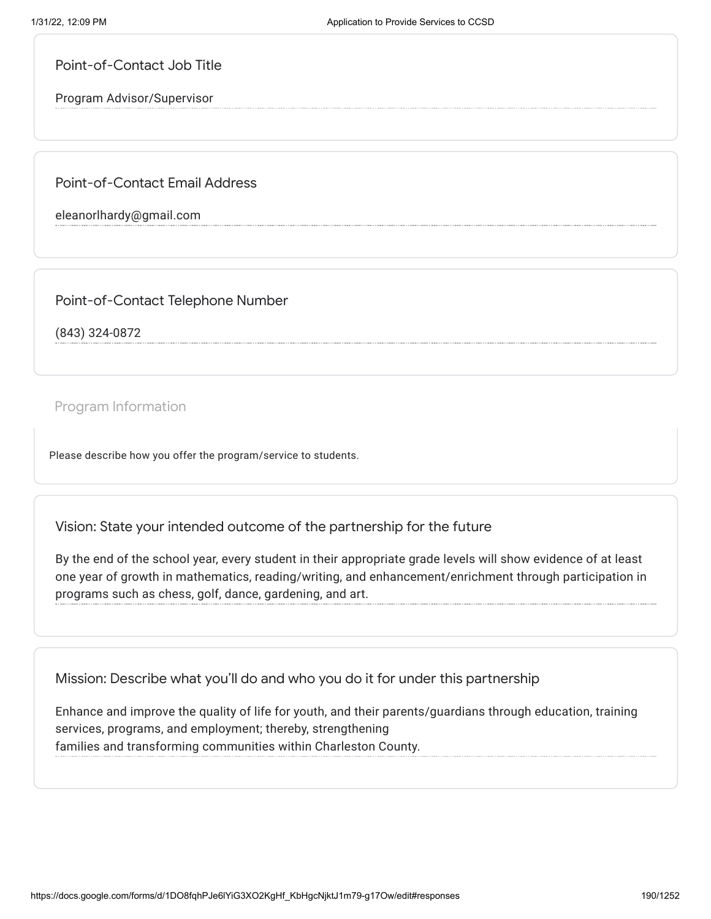Point-of-Contact Job Title

Program Advisor/Supervisor

Point-of-Contact Email Address

eleanorlhardy@gmail.com

Point-of-Contact Telephone Number

(843) 324-0872

Program Information

Please describe how you offer the program/service to students.

Vision: State your intended outcome of the partnership for the future

By the end of the school year, every student in their appropriate grade levels will show evidence of at least one year of growth in mathematics, reading/writing, and enhancement/enrichment through participation in programs such as chess, golf, dance, gardening, and art.

Mission: Describe what you'll do and who you do it for under this partnership

Enhance and improve the quality of life for youth, and their parents/guardians through education, training services, programs, and employment; thereby, strengthening families and transforming communities within Charleston County.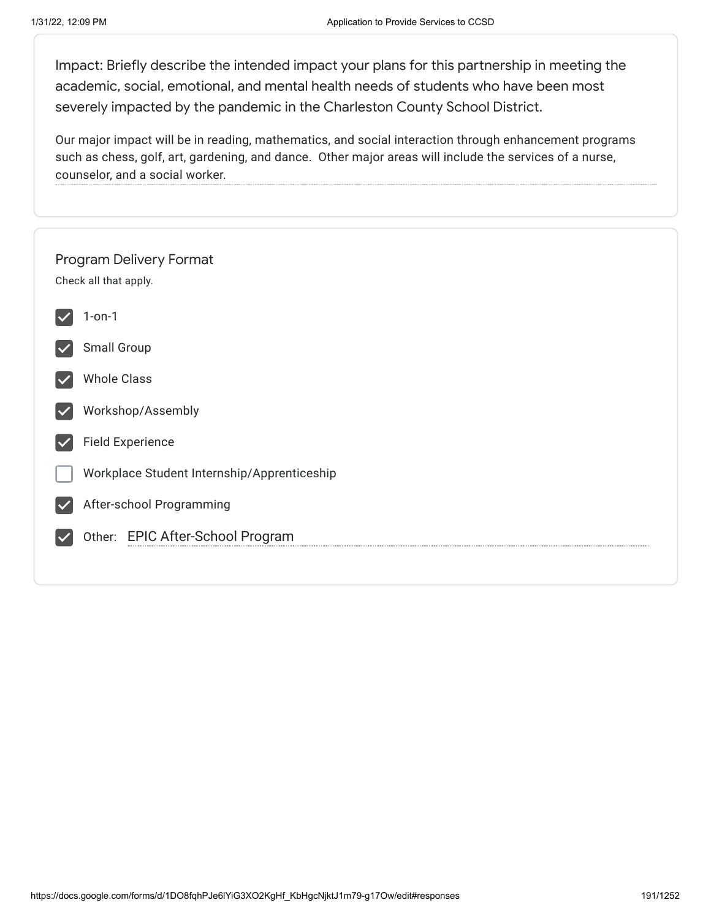Impact: Briefly describe the intended impact your plans for this partnership in meeting the academic, social, emotional, and mental health needs of students who have been most severely impacted by the pandemic in the Charleston County School District.

Our major impact will be in reading, mathematics, and social interaction through enhancement programs such as chess, golf, art, gardening, and dance. Other major areas will include the services of a nurse, counselor, and a social worker.

| Program Delivery Format<br>Check all that apply. |
|--------------------------------------------------|
| $1$ -on- $1$                                     |
| Small Group                                      |
| <b>Whole Class</b>                               |
| Workshop/Assembly                                |
| <b>Field Experience</b>                          |
| Workplace Student Internship/Apprenticeship      |
| After-school Programming                         |
| Other: EPIC After-School Program                 |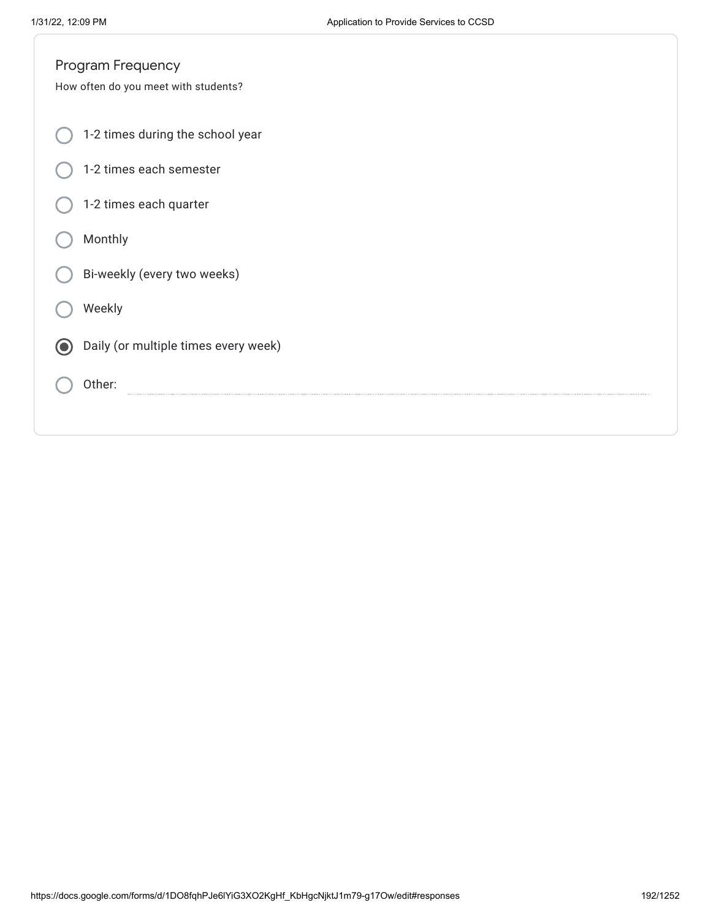| Program Frequency                         |
|-------------------------------------------|
| How often do you meet with students?      |
|                                           |
| 1-2 times during the school year          |
| 1-2 times each semester                   |
|                                           |
| 1-2 times each quarter                    |
| Monthly                                   |
|                                           |
| Bi-weekly (every two weeks)               |
|                                           |
| Weekly                                    |
|                                           |
| Daily (or multiple times every week)<br>0 |
| Other:                                    |
|                                           |
|                                           |
|                                           |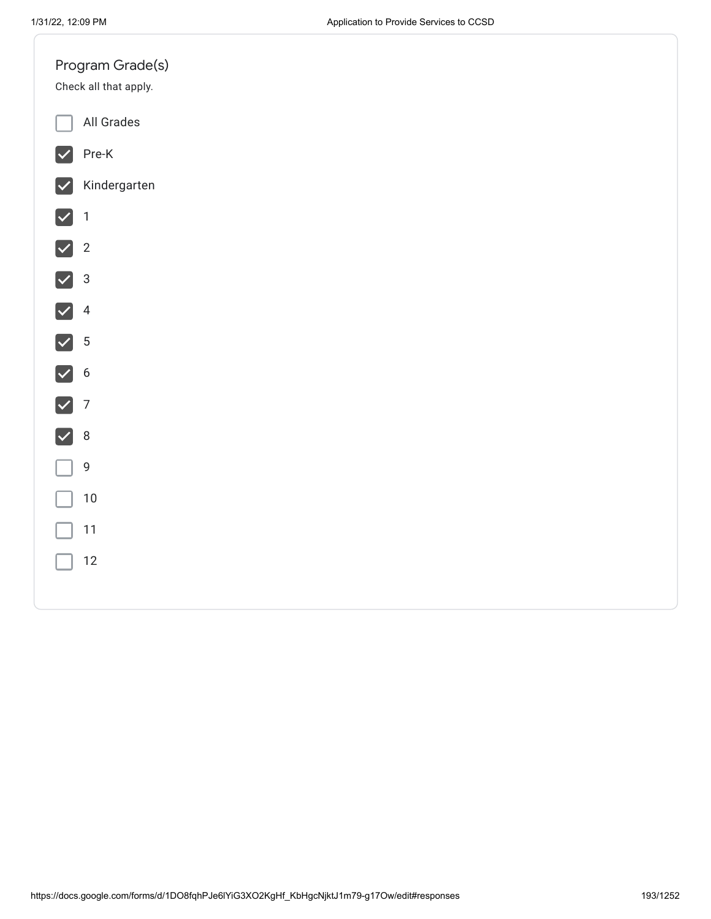| All Grades<br>$Pre-K$<br>$ \bm{\vee} $<br>Kindergarten<br>$\vert\checkmark\vert$<br>$\sqrt{1}$<br>$\sqrt{2}$<br>$\sqrt{3}$<br>$\sqrt{4}$<br>$\sqrt{5}$<br>$\sqrt{6}$<br>$\nabla$ 7<br>$\sqrt{8}$<br>9<br>$10\,$<br>$11$<br>$12\,$ |  | Program Grade(s)<br>Check all that apply. |
|-----------------------------------------------------------------------------------------------------------------------------------------------------------------------------------------------------------------------------------|--|-------------------------------------------|
|                                                                                                                                                                                                                                   |  |                                           |
|                                                                                                                                                                                                                                   |  |                                           |
|                                                                                                                                                                                                                                   |  |                                           |
|                                                                                                                                                                                                                                   |  |                                           |
|                                                                                                                                                                                                                                   |  |                                           |
|                                                                                                                                                                                                                                   |  |                                           |
|                                                                                                                                                                                                                                   |  |                                           |
|                                                                                                                                                                                                                                   |  |                                           |
|                                                                                                                                                                                                                                   |  |                                           |
|                                                                                                                                                                                                                                   |  |                                           |
|                                                                                                                                                                                                                                   |  |                                           |
|                                                                                                                                                                                                                                   |  |                                           |
|                                                                                                                                                                                                                                   |  |                                           |
|                                                                                                                                                                                                                                   |  |                                           |
|                                                                                                                                                                                                                                   |  |                                           |
|                                                                                                                                                                                                                                   |  |                                           |
|                                                                                                                                                                                                                                   |  |                                           |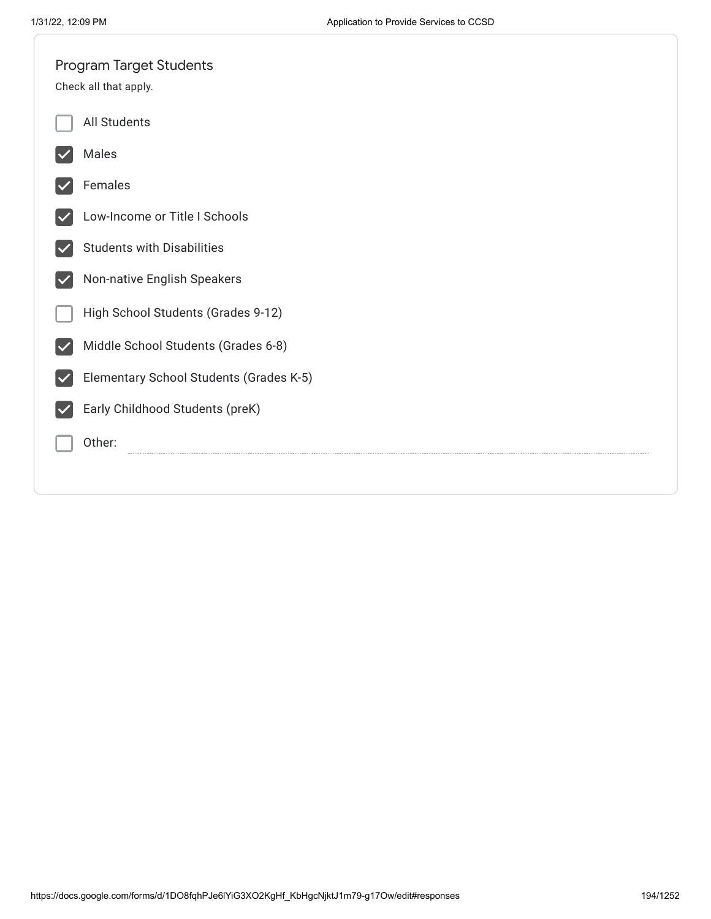|   | <b>Program Target Students</b>          |
|---|-----------------------------------------|
|   | Check all that apply.                   |
|   | All Students                            |
|   | Males                                   |
|   | Females                                 |
|   | Low-Income or Title I Schools           |
|   | <b>Students with Disabilities</b>       |
|   | Non-native English Speakers             |
|   | High School Students (Grades 9-12)      |
|   | Middle School Students (Grades 6-8)     |
| M | Elementary School Students (Grades K-5) |
|   | Early Childhood Students (preK)         |
|   | Other:                                  |
|   |                                         |
|   |                                         |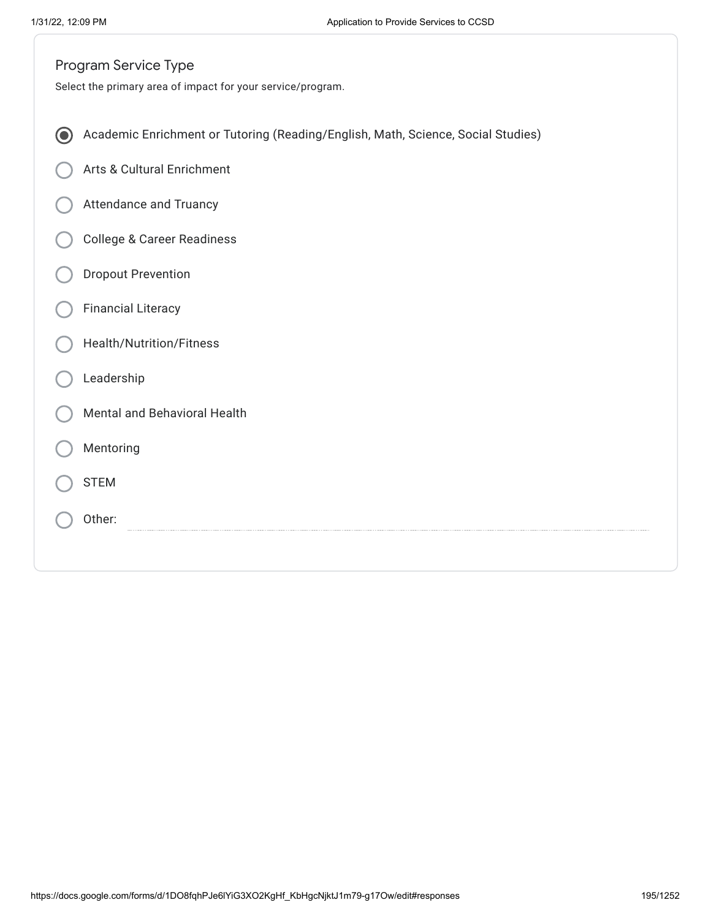|                          | Program Service Type                                                             |
|--------------------------|----------------------------------------------------------------------------------|
|                          | Select the primary area of impact for your service/program.                      |
|                          |                                                                                  |
| $\left( \bullet \right)$ | Academic Enrichment or Tutoring (Reading/English, Math, Science, Social Studies) |
|                          | Arts & Cultural Enrichment                                                       |
|                          | <b>Attendance and Truancy</b>                                                    |
|                          | <b>College &amp; Career Readiness</b>                                            |
|                          | <b>Dropout Prevention</b>                                                        |
|                          | <b>Financial Literacy</b>                                                        |
|                          | Health/Nutrition/Fitness                                                         |
|                          | Leadership                                                                       |
|                          | Mental and Behavioral Health                                                     |
|                          | Mentoring                                                                        |
|                          | <b>STEM</b>                                                                      |
|                          | Other:                                                                           |
|                          |                                                                                  |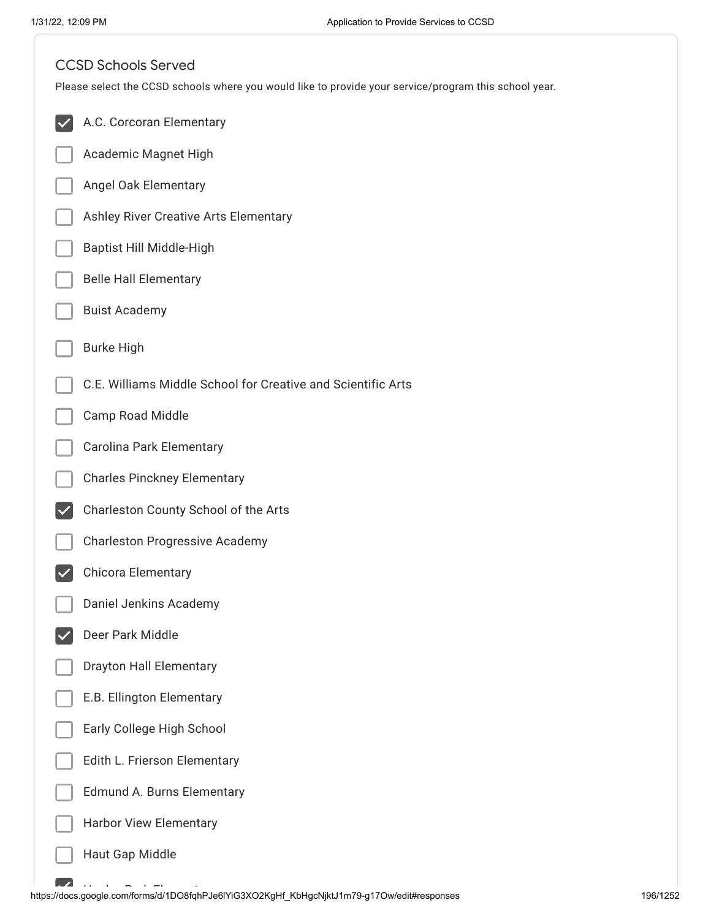| <b>CCSD Schools Served</b><br>Please select the CCSD schools where you would like to provide your service/program this school year. |
|-------------------------------------------------------------------------------------------------------------------------------------|
| A.C. Corcoran Elementary                                                                                                            |
| Academic Magnet High                                                                                                                |
| Angel Oak Elementary                                                                                                                |
| Ashley River Creative Arts Elementary                                                                                               |
| Baptist Hill Middle-High                                                                                                            |
| <b>Belle Hall Elementary</b>                                                                                                        |
| <b>Buist Academy</b>                                                                                                                |
| <b>Burke High</b>                                                                                                                   |
| C.E. Williams Middle School for Creative and Scientific Arts                                                                        |
| Camp Road Middle                                                                                                                    |
| Carolina Park Elementary                                                                                                            |
| <b>Charles Pinckney Elementary</b>                                                                                                  |
| Charleston County School of the Arts                                                                                                |
| <b>Charleston Progressive Academy</b>                                                                                               |
| Chicora Elementary                                                                                                                  |
| Daniel Jenkins Academy                                                                                                              |
| Deer Park Middle                                                                                                                    |
| <b>Drayton Hall Elementary</b>                                                                                                      |
| E.B. Ellington Elementary                                                                                                           |
| Early College High School                                                                                                           |
| Edith L. Frierson Elementary                                                                                                        |
| Edmund A. Burns Elementary                                                                                                          |
| <b>Harbor View Elementary</b>                                                                                                       |
| Haut Gap Middle                                                                                                                     |
|                                                                                                                                     |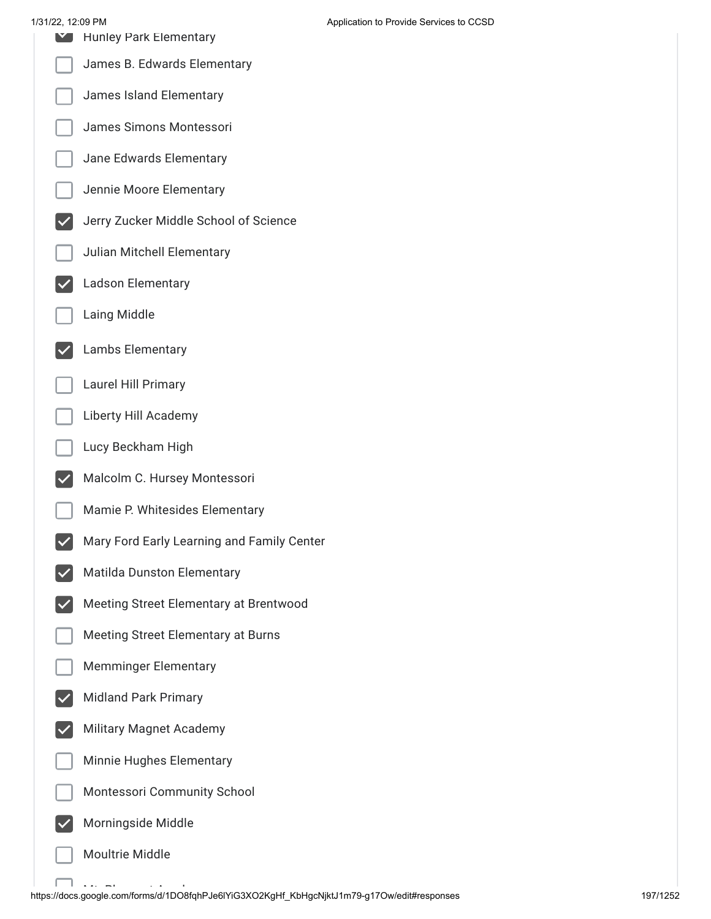| 1/31/22, 12:09 PM | <b>Hunley Park Elementary</b>              | Application to Provide Services to CCSD |
|-------------------|--------------------------------------------|-----------------------------------------|
|                   | James B. Edwards Elementary                |                                         |
|                   | James Island Elementary                    |                                         |
|                   | James Simons Montessori                    |                                         |
|                   | Jane Edwards Elementary                    |                                         |
|                   | Jennie Moore Elementary                    |                                         |
|                   | Jerry Zucker Middle School of Science      |                                         |
|                   | Julian Mitchell Elementary                 |                                         |
|                   | <b>Ladson Elementary</b>                   |                                         |
|                   | Laing Middle                               |                                         |
|                   | Lambs Elementary                           |                                         |
|                   | Laurel Hill Primary                        |                                         |
|                   | Liberty Hill Academy                       |                                         |
|                   | Lucy Beckham High                          |                                         |
|                   | Malcolm C. Hursey Montessori               |                                         |
|                   | Mamie P. Whitesides Elementary             |                                         |
|                   | Mary Ford Early Learning and Family Center |                                         |
|                   | Matilda Dunston Elementary                 |                                         |
|                   | Meeting Street Elementary at Brentwood     |                                         |
|                   | Meeting Street Elementary at Burns         |                                         |
|                   | <b>Memminger Elementary</b>                |                                         |
|                   | <b>Midland Park Primary</b>                |                                         |
|                   | <b>Military Magnet Academy</b>             |                                         |
|                   | Minnie Hughes Elementary                   |                                         |
|                   | Montessori Community School                |                                         |
|                   | Morningside Middle                         |                                         |
|                   | Moultrie Middle                            |                                         |

.<br>https://docs.google.com/forms/d/1DO8fqhPJe6lYiG3XO2KgHf\_KbHgcNjktJ1m79-g17Ow/edit#responses 197/1252 197/1252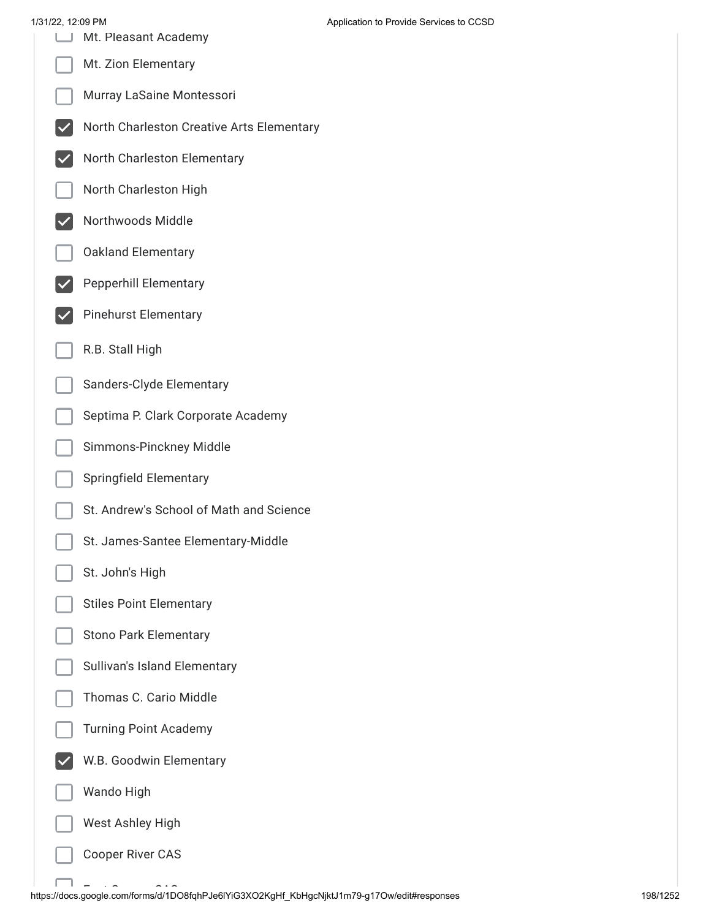£ ٦

| 1/31/22, 12:09 PM | Mt. Pleasant Academy                      | Application to Provide Services to CCSD |
|-------------------|-------------------------------------------|-----------------------------------------|
|                   | Mt. Zion Elementary                       |                                         |
|                   | Murray LaSaine Montessori                 |                                         |
|                   | North Charleston Creative Arts Elementary |                                         |
|                   | North Charleston Elementary               |                                         |
|                   | North Charleston High                     |                                         |
|                   | Northwoods Middle                         |                                         |
|                   | <b>Oakland Elementary</b>                 |                                         |
|                   | <b>Pepperhill Elementary</b>              |                                         |
|                   | <b>Pinehurst Elementary</b>               |                                         |
|                   | R.B. Stall High                           |                                         |
|                   | Sanders-Clyde Elementary                  |                                         |
|                   | Septima P. Clark Corporate Academy        |                                         |
|                   | Simmons-Pinckney Middle                   |                                         |
|                   | <b>Springfield Elementary</b>             |                                         |
|                   | St. Andrew's School of Math and Science   |                                         |
|                   | St. James-Santee Elementary-Middle        |                                         |
|                   | St. John's High                           |                                         |
|                   | <b>Stiles Point Elementary</b>            |                                         |
|                   | <b>Stono Park Elementary</b>              |                                         |
|                   | Sullivan's Island Elementary              |                                         |
|                   | Thomas C. Cario Middle                    |                                         |
|                   | <b>Turning Point Academy</b>              |                                         |
|                   | W.B. Goodwin Elementary                   |                                         |
|                   | Wando High                                |                                         |
|                   | West Ashley High                          |                                         |
|                   | <b>Cooper River CAS</b>                   |                                         |

.<br>https://docs.google.com/forms/d/1DO8fqhPJe6lYiG3XO2KgHf\_KbHgcNjktJ1m79-g17Ow/edit#responses 198/1252 198/1252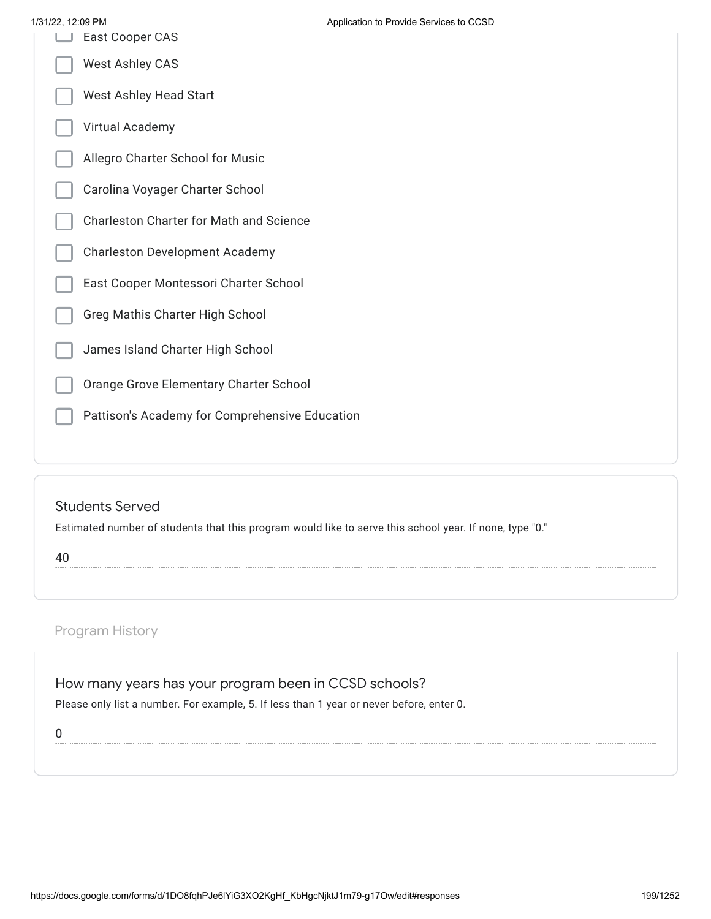| 1/31/22, 12:09 PM |                                                | Application to |
|-------------------|------------------------------------------------|----------------|
|                   | <b>East Cooper CAS</b>                         |                |
|                   | <b>West Ashley CAS</b>                         |                |
|                   | <b>West Ashley Head Start</b>                  |                |
|                   | Virtual Academy                                |                |
|                   | Allegro Charter School for Music               |                |
|                   | Carolina Voyager Charter School                |                |
|                   | <b>Charleston Charter for Math and Science</b> |                |
|                   | <b>Charleston Development Academy</b>          |                |
|                   | East Cooper Montessori Charter School          |                |
|                   | Greg Mathis Charter High School                |                |
|                   | James Island Charter High School               |                |
|                   | Orange Grove Elementary Charter School         |                |
|                   | Pattison's Academy for Comprehensive Education |                |
|                   |                                                |                |

# Students Served

Estimated number of students that this program would like to serve this school year. If none, type "0."

40

# Program History

How many years has your program been in CCSD schools?

Please only list a number. For example, 5. If less than 1 year or never before, enter 0.

0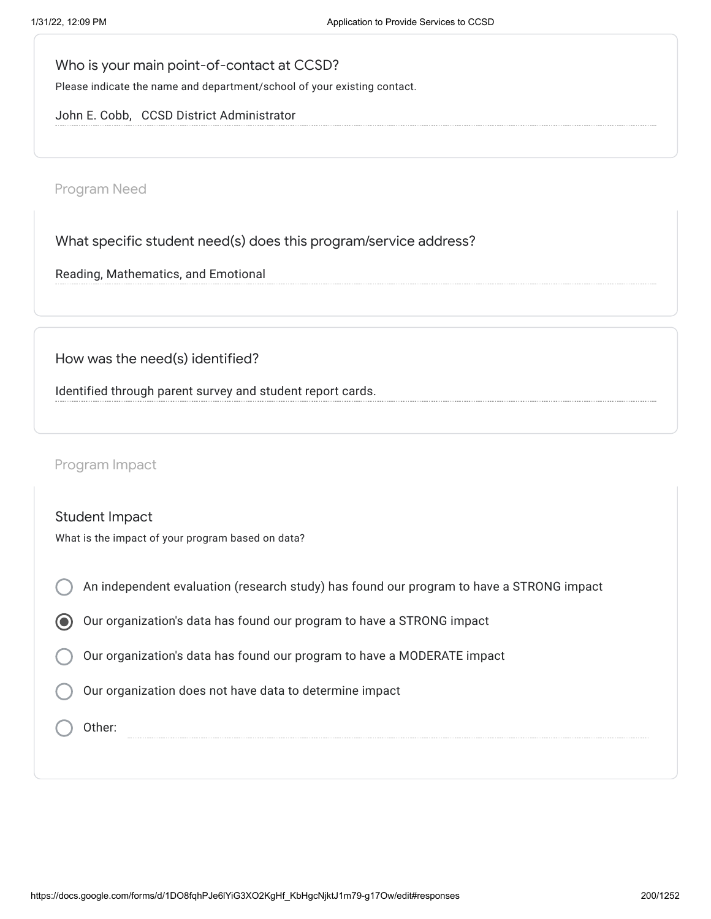Who is your main point-of-contact at CCSD?

Please indicate the name and department/school of your existing contact.

John E. Cobb, CCSD District Administrator

Program Need

What specific student need(s) does this program/service address?

Reading, Mathematics, and Emotional

How was the need(s) identified?

Identified through parent survey and student report cards.

Program Impact

| <b>Student Impact</b><br>What is the impact of your program based on data?               |  |  |
|------------------------------------------------------------------------------------------|--|--|
| An independent evaluation (research study) has found our program to have a STRONG impact |  |  |
| Our organization's data has found our program to have a STRONG impact                    |  |  |
| Our organization's data has found our program to have a MODERATE impact                  |  |  |
| Our organization does not have data to determine impact                                  |  |  |
| Other:                                                                                   |  |  |
|                                                                                          |  |  |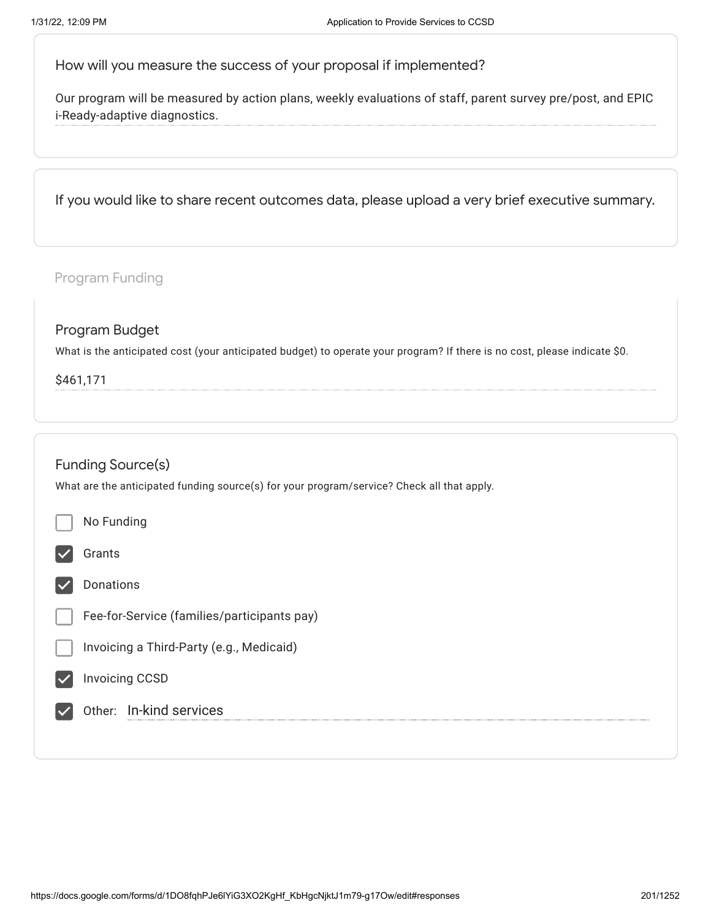How will you measure the success of your proposal if implemented?

Our program will be measured by action plans, weekly evaluations of staff, parent survey pre/post, and EPIC i-Ready-adaptive diagnostics.

If you would like to share recent outcomes data, please upload a very brief executive summary.

| Program Funding |                                                                                                                                             |  |  |  |  |  |  |
|-----------------|---------------------------------------------------------------------------------------------------------------------------------------------|--|--|--|--|--|--|
|                 | Program Budget<br>What is the anticipated cost (your anticipated budget) to operate your program? If there is no cost, please indicate \$0. |  |  |  |  |  |  |
| \$461,171       |                                                                                                                                             |  |  |  |  |  |  |
|                 |                                                                                                                                             |  |  |  |  |  |  |
|                 | <b>Funding Source(s)</b>                                                                                                                    |  |  |  |  |  |  |
|                 | What are the anticipated funding source(s) for your program/service? Check all that apply.                                                  |  |  |  |  |  |  |
|                 | No Funding                                                                                                                                  |  |  |  |  |  |  |
|                 | Grants                                                                                                                                      |  |  |  |  |  |  |
|                 | Donations                                                                                                                                   |  |  |  |  |  |  |
|                 | Fee-for-Service (families/participants pay)                                                                                                 |  |  |  |  |  |  |
|                 | Invoicing a Third-Party (e.g., Medicaid)                                                                                                    |  |  |  |  |  |  |
|                 | <b>Invoicing CCSD</b>                                                                                                                       |  |  |  |  |  |  |
|                 | Other: In-kind services                                                                                                                     |  |  |  |  |  |  |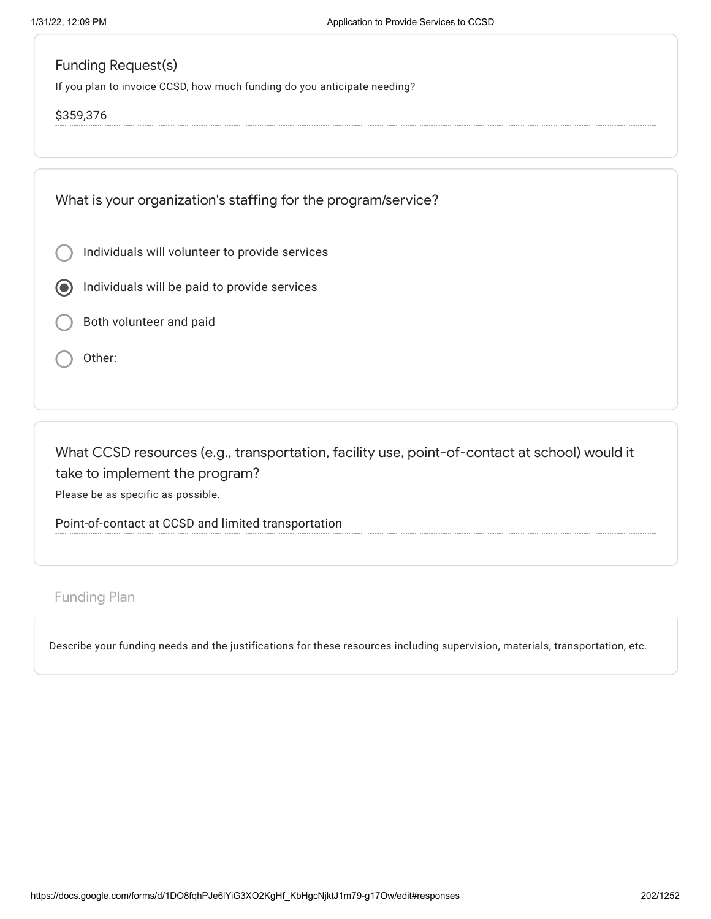# Funding Request(s)

If you plan to invoice CCSD, how much funding do you anticipate needing?

## \$359,376

What is your organization's staffing for the program/service?

- Individuals will volunteer to provide services
- Individuals will be paid to provide services
- Both volunteer and paid
- Other:

What CCSD resources (e.g., transportation, facility use, point-of-contact at school) would it take to implement the program? Please be as specific as possible.

Point-of-contact at CCSD and limited transportation

Funding Plan

Describe your funding needs and the justifications for these resources including supervision, materials, transportation, etc.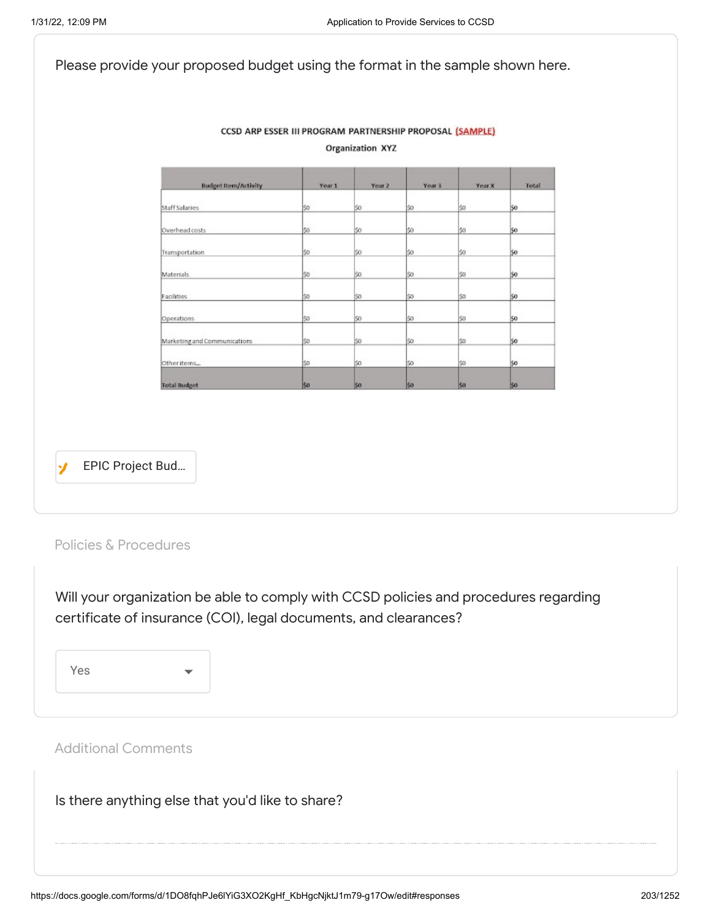|                              |        | <b>Organization XYZ</b> |        |        |       |
|------------------------------|--------|-------------------------|--------|--------|-------|
| <b>Budget Item/Activity</b>  | Year 1 | Year 2                  | Year 3 | Year X | Total |
| <b>Staff Salaries</b>        | \$0    | \$0                     | \$0    | \$0    | \$0   |
| Overhead costs               | Ŝ0     | 80                      | 50     | S0     | 50    |
| Transportation               | S0     | \$0                     | \$0    | S0     | 50    |
| Materials                    | \$D    | \$0                     | \$0    | \$0    | 50    |
| Facilities                   | SO.    | \$0                     | \$0    | \$D    | 50    |
| Operations                   | \$0    | \$0                     | \$0    | \$0    | \$0   |
| Marketing and Communications | Ŝ0     | Ś0                      | \$0    | Ś0     | 50    |
| Other items                  | \$D    | l\$0                    | \$0    | \$D    | 50    |
| <b>Total Budget</b>          | \$0    | \$0                     | \$0    | \$0    | SO.   |
|                              |        |                         |        |        |       |

Policies & Procedures

Will your organization be able to comply with CCSD policies and procedures regarding certificate of insurance (COI), legal documents, and clearances?

Yes

Additional Comments

Is there anything else that you'd like to share?